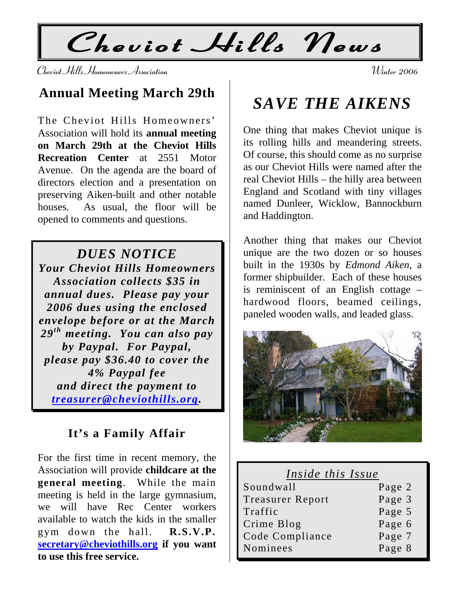**Cheviot Hills News** 

**Cheviot Hills Homeowners Association Winter 2006** 

## **Annual Meeting March 29th**

The Cheviot Hills Homeowners' Association will hold its **annual meeting on March 29th at the Cheviot Hills Recreation Center** at 2551 Motor Avenue. On the agenda are the board of directors election and a presentation on preserving Aiken-built and other notable houses. As usual, the floor will be opened to comments and questions.

#### *DUES NOTICE*

*Your Cheviot Hills Homeowners Association collects \$35 in annual dues. Please pay your 2006 dues using the enclosed envelope before or at the March*  29<sup>*th*</sup> meeting. You can also pay *by Paypal. For Paypal, please pay \$36.40 to cover the 4% Paypal fee and direct the payment to [treasurer@cheviothills.org](mailto:treasurer@cheviothills.org).* 

#### **It's a Family Affair**

For the first time in recent memory, the Association will provide **childcare at the general meeting**. While the main meeting is held in the large gymnasium, we will have Rec Center workers available to watch the kids in the smaller gym down the hall. **R.S.V.P. [secretary@cheviothills.org](mailto:secretary@cheviothills.org) if you want to use this free service.** 

# *SAVE THE AIKENS*

One thing that makes Cheviot unique is its rolling hills and meandering streets. Of course, this should come as no surprise as our Cheviot Hills were named after the real Cheviot Hills – the hilly area between England and Scotland with tiny villages named Dunleer, Wicklow, Bannockburn and Haddington.

Another thing that makes our Cheviot unique are the two dozen or so houses built in the 1930s by *Edmond Aiken*, a former shipbuilder. Each of these houses is reminiscent of an English cottage – hardwood floors, beamed ceilings, paneled wooden walls, and leaded glass.



| Inside this Issue       |        |
|-------------------------|--------|
| Soundwall               | Page 2 |
| <b>Treasurer Report</b> | Page 3 |
| Traffic                 | Page 5 |
| Crime Blog              | Page 6 |
| Code Compliance         | Page 7 |
| Nominees                | Page 8 |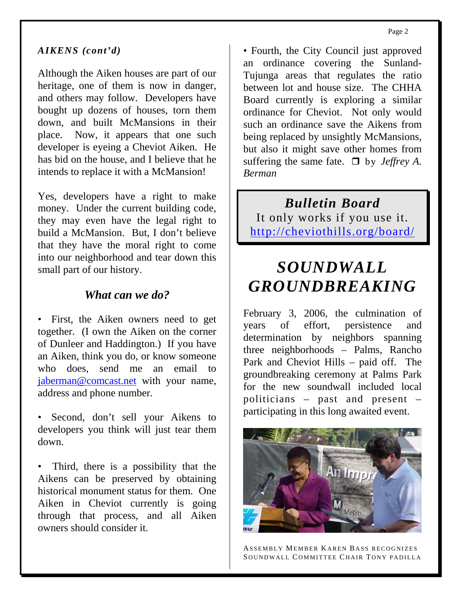#### *AIKENS (cont'd)*

Although the Aiken houses are part of our heritage, one of them is now in danger, and others may follow. Developers have bought up dozens of houses, torn them down, and built McMansions in their place. Now, it appears that one such developer is eyeing a Cheviot Aiken. He has bid on the house, and I believe that he intends to replace it with a McMansion!

Yes, developers have a right to make money. Under the current building code, they may even have the legal right to build a McMansion. But, I don't believe that they have the moral right to come into our neighborhood and tear down this small part of our history.

#### *What can we do?*

• First, the Aiken owners need to get together. (I own the Aiken on the corner of Dunleer and Haddington.) If you have an Aiken, think you do, or know someone who does, send me an email to [jaberman@comcast.net](mailto:jaberman@comcast.net) with your name, address and phone number.

• Second, don't sell your Aikens to developers you think will just tear them down.

• Third, there is a possibility that the Aikens can be preserved by obtaining historical monument status for them. One Aiken in Cheviot currently is going through that process, and all Aiken owners should consider it.

• Fourth, the City Council just approved an ordinance covering the Sunland-Tujunga areas that regulates the ratio between lot and house size. The CHHA Board currently is exploring a similar ordinance for Cheviot. Not only would such an ordinance save the Aikens from being replaced by unsightly McMansions, but also it might save other homes from suffering the same fate.  $\Box$  by *Jeffrey A. Berman* 

*Bulletin Board*  It only works if you use it. <http://cheviothills.org/board/>

# *SOUNDWALL GROUNDBREAKING*

February 3, 2006, the culmination of years of effort, persistence and determination by neighbors spanning three neighborhoods – Palms, Rancho Park and Cheviot Hills – paid off. The groundbreaking ceremony at Palms Park for the new soundwall included local politicians – past and present – participating in this long awaited event.



ASSEMBLY MEMBER KAREN B ASS RECOGNIZES SOUNDWALL COMMITTEE CHAIR TONY PADILLA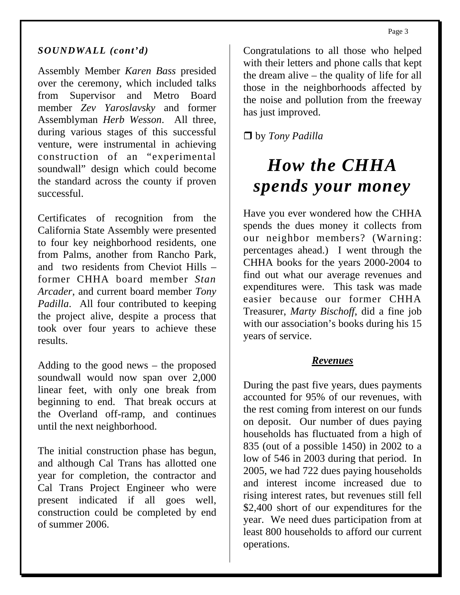#### *SOUNDWALL (cont'd)*

Assembly Member *Karen Bass* presided over the ceremony, which included talks from Supervisor and Metro Board member *Zev Yaroslavsky* and former Assemblyman *Herb Wesson*. All three, during various stages of this successful venture, were instrumental in achieving construction of an "experimental soundwall" design which could become the standard across the county if proven successful.

Certificates of recognition from the California State Assembly were presented to four key neighborhood residents, one from Palms, another from Rancho Park, and two residents from Cheviot Hills – former CHHA board member *Stan Arcader*, and current board member *Tony Padilla*. All four contributed to keeping the project alive, despite a process that took over four years to achieve these results.

Adding to the good news – the proposed soundwall would now span over 2,000 linear feet, with only one break from beginning to end. That break occurs at the Overland off-ramp, and continues until the next neighborhood.

The initial construction phase has begun, and although Cal Trans has allotted one year for completion, the contractor and Cal Trans Project Engineer who were present indicated if all goes well, construction could be completed by end of summer 2006.

Congratulations to all those who helped with their letters and phone calls that kept the dream alive – the quality of life for all those in the neighborhoods affected by the noise and pollution from the freeway has just improved.

by *Tony Padilla*

# *How the CHHA spends your money*

Have you ever wondered how the CHHA spends the dues money it collects from our neighbor members? (Warning: percentages ahead.) I went through the CHHA books for the years 2000-2004 to find out what our average revenues and expenditures were. This task was made easier because our former CHHA Treasurer, *Marty Bischoff*, did a fine job with our association's books during his 15 years of service.

#### *Revenues*

During the past five years, dues payments accounted for 95% of our revenues, with the rest coming from interest on our funds on deposit. Our number of dues paying households has fluctuated from a high of 835 (out of a possible 1450) in 2002 to a low of 546 in 2003 during that period. In 2005, we had 722 dues paying households and interest income increased due to rising interest rates, but revenues still fell \$2,400 short of our expenditures for the year. We need dues participation from at least 800 households to afford our current operations.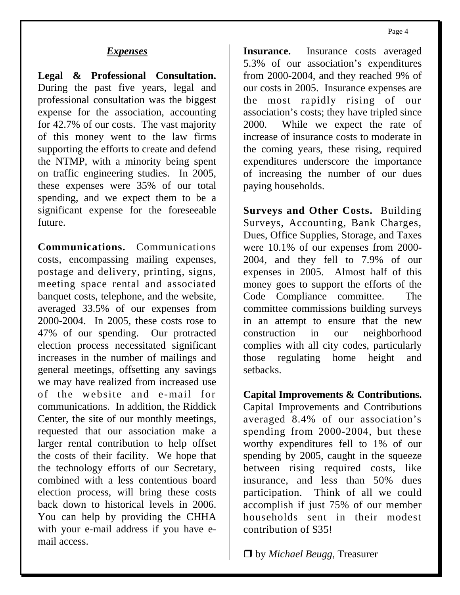#### *Expenses*

**Legal & Professional Consultation.**  During the past five years, legal and professional consultation was the biggest expense for the association, accounting for 42.7% of our costs. The vast majority of this money went to the law firms supporting the efforts to create and defend the NTMP, with a minority being spent on traffic engineering studies. In 2005, these expenses were 35% of our total spending, and we expect them to be a significant expense for the foreseeable future.

**Communications.** Communications costs, encompassing mailing expenses, postage and delivery, printing, signs, meeting space rental and associated banquet costs, telephone, and the website, averaged 33.5% of our expenses from 2000-2004. In 2005, these costs rose to 47% of our spending. Our protracted election process necessitated significant increases in the number of mailings and general meetings, offsetting any savings we may have realized from increased use of the website and e-mail for communications. In addition, the Riddick Center, the site of our monthly meetings, requested that our association make a larger rental contribution to help offset the costs of their facility. We hope that the technology efforts of our Secretary, combined with a less contentious board election process, will bring these costs back down to historical levels in 2006. You can help by providing the CHHA with your e-mail address if you have email access.

Insurance. Insurance costs averaged 5.3% of our association's expenditures from 2000-2004, and they reached 9% of our costs in 2005. Insurance expenses are the most rapidly rising of our association's costs; they have tripled since 2000. While we expect the rate of increase of insurance costs to moderate in the coming years, these rising, required expenditures underscore the importance of increasing the number of our dues paying households.

**Surveys and Other Costs.** Building Surveys, Accounting, Bank Charges, Dues, Office Supplies, Storage, and Taxes were 10.1% of our expenses from 2000- 2004, and they fell to 7.9% of our expenses in 2005. Almost half of this money goes to support the efforts of the Code Compliance committee. The committee commissions building surveys in an attempt to ensure that the new construction in our neighborhood complies with all city codes, particularly those regulating home height and setbacks.

**Capital Improvements & Contributions.**  Capital Improvements and Contributions averaged 8.4% of our association's spending from 2000-2004, but these worthy expenditures fell to 1% of our spending by 2005, caught in the squeeze between rising required costs, like insurance, and less than 50% dues participation. Think of all we could accomplish if just 75% of our member households sent in their modest contribution of \$35!

by *Michael Beugg*, Treasurer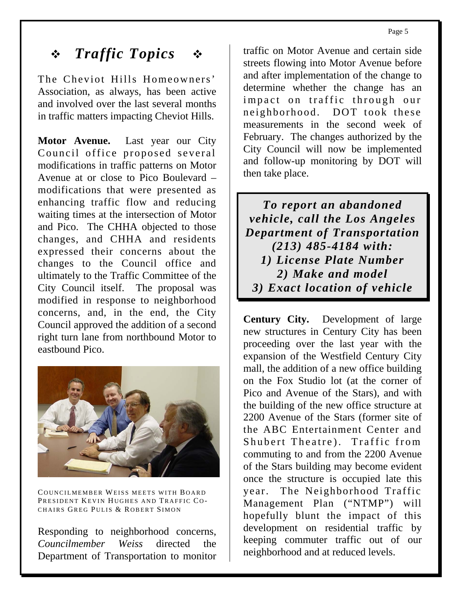# *Traffic Topics*

The Cheviot Hills Homeowners' Association, as always, has been active and involved over the last several months in traffic matters impacting Cheviot Hills.

**Motor Avenue.** Last year our City Council office proposed several modifications in traffic patterns on Motor Avenue at or close to Pico Boulevard – modifications that were presented as enhancing traffic flow and reducing waiting times at the intersection of Motor and Pico. The CHHA objected to those changes, and CHHA and residents expressed their concerns about the changes to the Council office and ultimately to the Traffic Committee of the City Council itself. The proposal was modified in response to neighborhood concerns, and, in the end, the City Council approved the addition of a second right turn lane from northbound Motor to eastbound Pico.



COUNCILMEMBER WEISS MEETS WITH BOARD PRESIDENT KEVIN HUGHES AND TRAFFIC CO-CHAIRS GREG PULIS & ROBERT SIMON

Responding to neighborhood concerns, *Councilmember Weiss* directed the Department of Transportation to monitor

traffic on Motor Avenue and certain side streets flowing into Motor Avenue before and after implementation of the change to determine whether the change has an impact on traffic through our neighborhood. DOT took these measurements in the second week of February. The changes authorized by the City Council will now be implemented and follow-up monitoring by DOT will then take place.

*To report an abandoned vehicle, call the Los Angeles Department of Transportation (213) 485-4184 with: 1) License Plate Number 2) Make and model 3) Exact location of vehicle* 

**Century City.** Development of large new structures in Century City has been proceeding over the last year with the expansion of the Westfield Century City mall, the addition of a new office building on the Fox Studio lot (at the corner of Pico and Avenue of the Stars), and with the building of the new office structure at 2200 Avenue of the Stars (former site of the ABC Entertainment Center and Shubert Theatre). Traffic from commuting to and from the 2200 Avenue of the Stars building may become evident once the structure is occupied late this year. The Neighborhood Traffic Management Plan ("NTMP") will hopefully blunt the impact of this development on residential traffic by keeping commuter traffic out of our neighborhood and at reduced levels.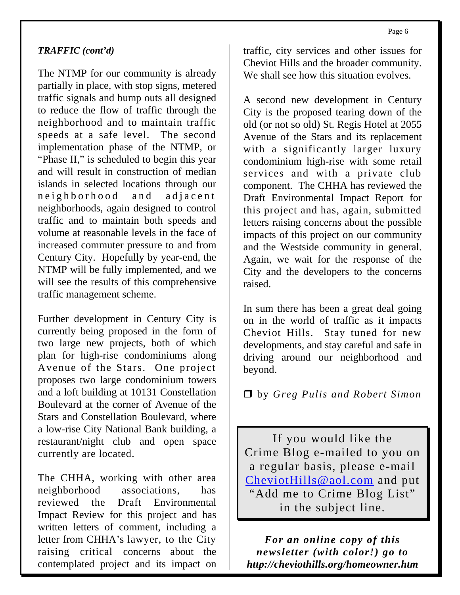#### *TRAFFIC (cont'd)*

The NTMP for our community is already partially in place, with stop signs, metered traffic signals and bump outs all designed to reduce the flow of traffic through the neighborhood and to maintain traffic speeds at a safe level. The second implementation phase of the NTMP, or "Phase II," is scheduled to begin this year and will result in construction of median islands in selected locations through our neighborhood and adjacent neighborhoods, again designed to control traffic and to maintain both speeds and volume at reasonable levels in the face of increased commuter pressure to and from Century City. Hopefully by year-end, the NTMP will be fully implemented, and we will see the results of this comprehensive traffic management scheme.

Further development in Century City is currently being proposed in the form of two large new projects, both of which plan for high-rise condominiums along Avenue of the Stars. One project proposes two large condominium towers and a loft building at 10131 Constellation Boulevard at the corner of Avenue of the Stars and Constellation Boulevard, where a low-rise City National Bank building, a restaurant/night club and open space currently are located.

The CHHA, working with other area neighborhood associations, has reviewed the Draft Environmental Impact Review for this project and has written letters of comment, including a letter from CHHA's lawyer, to the City raising critical concerns about the contemplated project and its impact on traffic, city services and other issues for Cheviot Hills and the broader community. We shall see how this situation evolves.

A second new development in Century City is the proposed tearing down of the old (or not so old) St. Regis Hotel at 2055 Avenue of the Stars and its replacement with a significantly larger luxury condominium high-rise with some retail services and with a private club component. The CHHA has reviewed the Draft Environmental Impact Report for this project and has, again, submitted letters raising concerns about the possible impacts of this project on our community and the Westside community in general. Again, we wait for the response of the City and the developers to the concerns raised.

In sum there has been a great deal going on in the world of traffic as it impacts Cheviot Hills. Stay tuned for new developments, and stay careful and safe in driving around our neighborhood and beyond.

by *Greg Pulis and Robert Simon* 

If you would like the Crime Blog e-mailed to you on a regular basis, please e-mail [CheviotHills@aol.com](mailto:CheviotHills@aol.com) and put "Add me to Crime Blog List" in the subject line.

*For an online copy of this newsletter (with color!) go to http://cheviothills.org/homeowner.htm*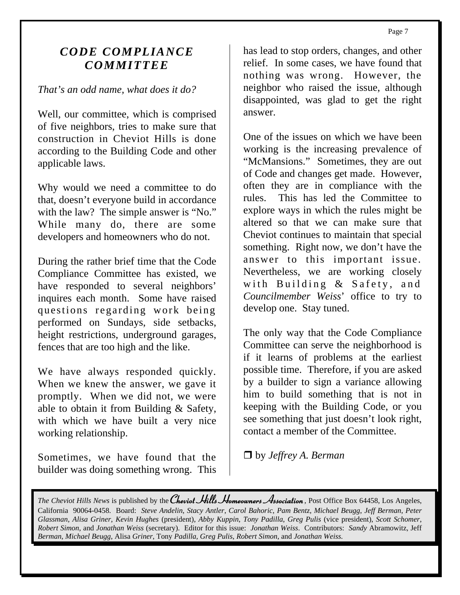### *CODE COMPLIANCE COMMITTEE*

#### *That's an odd name, what does it do?*

Well, our committee, which is comprised of five neighbors, tries to make sure that construction in Cheviot Hills is done according to the Building Code and other applicable laws.

Why would we need a committee to do that, doesn't everyone build in accordance with the law? The simple answer is "No." While many do, there are some developers and homeowners who do not.

During the rather brief time that the Code Compliance Committee has existed, we have responded to several neighbors' inquires each month. Some have raised questions regarding work being performed on Sundays, side setbacks, height restrictions, underground garages, fences that are too high and the like.

We have always responded quickly. When we knew the answer, we gave it promptly. When we did not, we were able to obtain it from Building & Safety, with which we have built a very nice working relationship.

Sometimes, we have found that the builder was doing something wrong. This has lead to stop orders, changes, and other relief. In some cases, we have found that nothing was wrong. However, the neighbor who raised the issue, although disappointed, was glad to get the right answer.

One of the issues on which we have been working is the increasing prevalence of "McMansions." Sometimes, they are out of Code and changes get made. However, often they are in compliance with the rules. This has led the Committee to explore ways in which the rules might be altered so that we can make sure that Cheviot continues to maintain that special something. Right now, we don't have the answer to this important issue. Nevertheless, we are working closely with Building & Safety, and *Councilmember Weiss*' office to try to develop one. Stay tuned.

The only way that the Code Compliance Committee can serve the neighborhood is if it learns of problems at the earliest possible time. Therefore, if you are asked by a builder to sign a variance allowing him to build something that is not in keeping with the Building Code, or you see something that just doesn't look right, contact a member of the Committee.

by *Jeffrey A. Berman* 

*The Cheviot Hills News* is published by the **Cheviot Hills Homeowners Association**, Post Office Box 64458, Los Angeles, California 90064-0458. Board: *Steve Andelin*, *Stacy Antler*, *Carol Bahoric*, *Pam Bentz*, *Michael Beugg*, *Jeff Berman*, *Peter Glassman*, *Alisa Griner*, *Kevin Hughes* (president), *Abby Kuppin*, *Tony Padilla*, *Greg Pulis* (vice president), *Scott Schomer*, *Robert Simon*, and *Jonathan Weiss* (secretary). Editor for this issue: *Jonathan Weiss*. Contributors: *Sandy* Abramowitz, Jeff *Berman, Michael Beugg*, Alisa *Griner*, Tony *Padilla, Greg Pulis*, *Robert Simon*, and *Jonathan Weiss.*